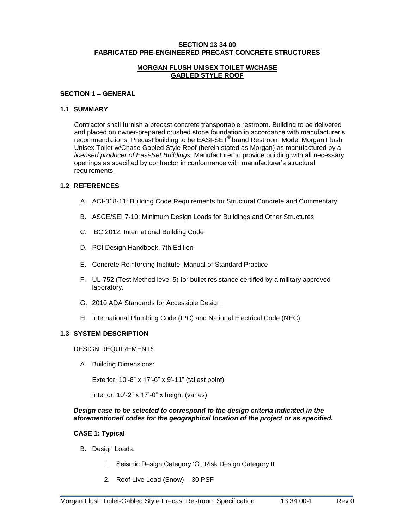#### **SECTION 13 34 00 FABRICATED PRE-ENGINEERED PRECAST CONCRETE STRUCTURES**

#### **MORGAN FLUSH UNISEX TOILET W/CHASE GABLED STYLE ROOF**

#### **SECTION 1 – GENERAL**

#### **1.1 SUMMARY**

Contractor shall furnish a precast concrete transportable restroom. Building to be delivered and placed on owner-prepared crushed stone foundation in accordance with manufacturer's recommendations. Precast building to be EASI-SET® brand Restroom Model Morgan Flush Unisex Toilet w/Chase Gabled Style Roof (herein stated as Morgan) as manufactured by a *licensed producer of Easi-Set Buildings*. Manufacturer to provide building with all necessary openings as specified by contractor in conformance with manufacturer's structural requirements.

### **1.2 REFERENCES**

- A. ACI-318-11: Building Code Requirements for Structural Concrete and Commentary
- B. ASCE/SEI 7-10: Minimum Design Loads for Buildings and Other Structures
- C. IBC 2012: International Building Code
- D. PCI Design Handbook, 7th Edition
- E. Concrete Reinforcing Institute, Manual of Standard Practice
- F. UL-752 (Test Method level 5) for bullet resistance certified by a military approved laboratory.
- G. 2010 ADA Standards for Accessible Design
- H. International Plumbing Code (IPC) and National Electrical Code (NEC)

## **1.3 SYSTEM DESCRIPTION**

#### DESIGN REQUIREMENTS

A. Building Dimensions:

Exterior: 10'-8" x 17'-6" x 9'-11" (tallest point)

Interior: 10'-2" x 17'-0" x height (varies)

#### *Design case to be selected to correspond to the design criteria indicated in the aforementioned codes for the geographical location of the project or as specified.*

\_\_\_\_\_\_\_\_\_\_\_\_\_\_\_\_\_\_\_\_\_\_\_\_\_\_\_\_\_\_\_\_\_\_\_\_\_\_\_\_\_\_\_\_\_\_\_\_\_\_\_\_\_\_\_\_\_\_\_\_\_\_\_\_\_\_\_\_\_\_\_\_\_

## **CASE 1: Typical**

- B. Design Loads:
	- 1. Seismic Design Category 'C', Risk Design Category II
	- 2. Roof Live Load (Snow) 30 PSF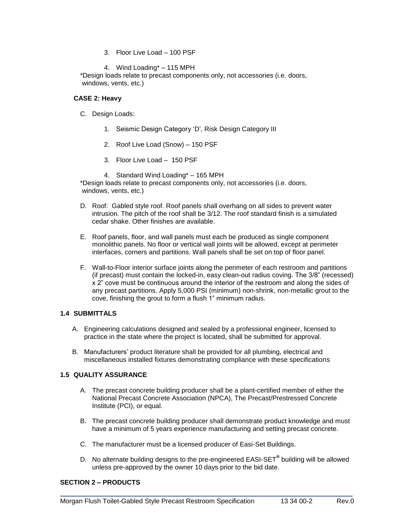3. Floor Live Load – 100 PSF

4. Wind Loading\* – 115 MPH

\*Design loads relate to precast components only, not accessories (i.e. doors, windows, vents, etc.)

### **CASE 2: Heavy**

- C. Design Loads:
	- 1. Seismic Design Category 'D', Risk Design Category III
	- 2. Roof Live Load (Snow) 150 PSF
	- 3. Floor Live Load 150 PSF
	- 4. Standard Wind Loading\* 165 MPH

\*Design loads relate to precast components only, not accessories (i.e. doors, windows, vents, etc.)

- D. Roof: Gabled style roof. Roof panels shall overhang on all sides to prevent water intrusion. The pitch of the roof shall be 3/12. The roof standard finish is a simulated cedar shake. Other finishes are available.
- E. Roof panels, floor, and wall panels must each be produced as single component monolithic panels. No floor or vertical wall joints will be allowed, except at perimeter interfaces, corners and partitions. Wall panels shall be set on top of floor panel.
- F. Wall-to-Floor interior surface joints along the perimeter of each restroom and partitions (if precast) must contain the locked-in, easy clean-out radius coving. The 3/8" (recessed) x 2" cove must be continuous around the interior of the restroom and along the sides of any precast partitions. Apply 5,000 PSI (minimum) non-shrink, non-metallic grout to the cove, finishing the grout to form a flush 1" minimum radius.

## **1.4 SUBMITTALS**

- A. Engineering calculations designed and sealed by a professional engineer, licensed to practice in the state where the project is located, shall be submitted for approval.
- B. Manufacturers' product literature shall be provided for all plumbing, electrical and miscellaneous installed fixtures demonstrating compliance with these specifications

## **1.5 QUALITY ASSURANCE**

- A. The precast concrete building producer shall be a plant-certified member of either the National Precast Concrete Association (NPCA), The Precast/Prestressed Concrete Institute (PCI), or equal.
- B. The precast concrete building producer shall demonstrate product knowledge and must have a minimum of 5 years experience manufacturing and setting precast concrete.
- C. The manufacturer must be a licensed producer of Easi-Set Buildings.
- D. No alternate building designs to the pre-engineered EASI-SET**®** building will be allowed unless pre-approved by the owner 10 days prior to the bid date.

\_\_\_\_\_\_\_\_\_\_\_\_\_\_\_\_\_\_\_\_\_\_\_\_\_\_\_\_\_\_\_\_\_\_\_\_\_\_\_\_\_\_\_\_\_\_\_\_\_\_\_\_\_\_\_\_\_\_\_\_\_\_\_\_\_\_\_\_\_\_\_\_\_

## **SECTION 2 – PRODUCTS**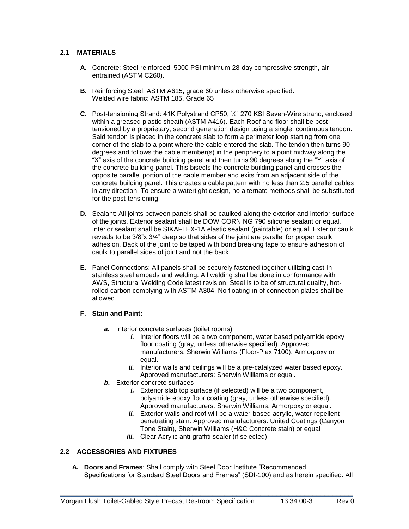# **2.1 MATERIALS**

- **A.** Concrete: Steel-reinforced, 5000 PSI minimum 28-day compressive strength, airentrained (ASTM C260).
- **B.** Reinforcing Steel: ASTM A615, grade 60 unless otherwise specified. Welded wire fabric: ASTM 185, Grade 65
- **C.** Post-tensioning Strand: 41K Polystrand CP50, ½" 270 KSI Seven-Wire strand, enclosed within a greased plastic sheath (ASTM A416). Each Roof and floor shall be posttensioned by a proprietary, second generation design using a single, continuous tendon. Said tendon is placed in the concrete slab to form a perimeter loop starting from one corner of the slab to a point where the cable entered the slab. The tendon then turns 90 degrees and follows the cable member(s) in the periphery to a point midway along the "X" axis of the concrete building panel and then turns 90 degrees along the "Y" axis of the concrete building panel. This bisects the concrete building panel and crosses the opposite parallel portion of the cable member and exits from an adjacent side of the concrete building panel. This creates a cable pattern with no less than 2.5 parallel cables in any direction. To ensure a watertight design, no alternate methods shall be substituted for the post-tensioning.
- **D.** Sealant: All joints between panels shall be caulked along the exterior and interior surface of the joints. Exterior sealant shall be DOW CORNING 790 silicone sealant or equal. Interior sealant shall be SIKAFLEX-1A elastic sealant (paintable) or equal. Exterior caulk reveals to be 3/8"x 3/4" deep so that sides of the joint are parallel for proper caulk adhesion. Back of the joint to be taped with bond breaking tape to ensure adhesion of caulk to parallel sides of joint and not the back.
- **E.** Panel Connections: All panels shall be securely fastened together utilizing cast-in stainless steel embeds and welding. All welding shall be done in conformance with AWS, Structural Welding Code latest revision. Steel is to be of structural quality, hotrolled carbon complying with ASTM A304. No floating-in of connection plates shall be allowed.

## **F. Stain and Paint:**

- *a.* Interior concrete surfaces (toilet rooms)
	- *i.* Interior floors will be a two component, water based polyamide epoxy floor coating (gray, unless otherwise specified). Approved manufacturers: Sherwin Williams (Floor-Plex 7100), Armorpoxy or equal.
	- *ii.* Interior walls and ceilings will be a pre-catalyzed water based epoxy. Approved manufacturers: Sherwin Williams or equal.
- *b.* Exterior concrete surfaces
	- *i.* Exterior slab top surface (if selected) will be a two component, polyamide epoxy floor coating (gray, unless otherwise specified). Approved manufacturers: Sherwin Williams, Armorpoxy or equal.
	- *ii.* Exterior walls and roof will be a water-based acrylic, water-repellent penetrating stain. Approved manufacturers: United Coatings (Canyon Tone Stain), Sherwin Williams (H&C Concrete stain) or equal
	- *iii.* Clear Acrylic anti-graffiti sealer (if selected)

# **2.2 ACCESSORIES AND FIXTURES**

**A. Doors and Frames**: Shall comply with Steel Door Institute "Recommended Specifications for Standard Steel Doors and Frames" (SDI-100) and as herein specified. All

\_\_\_\_\_\_\_\_\_\_\_\_\_\_\_\_\_\_\_\_\_\_\_\_\_\_\_\_\_\_\_\_\_\_\_\_\_\_\_\_\_\_\_\_\_\_\_\_\_\_\_\_\_\_\_\_\_\_\_\_\_\_\_\_\_\_\_\_\_\_\_\_\_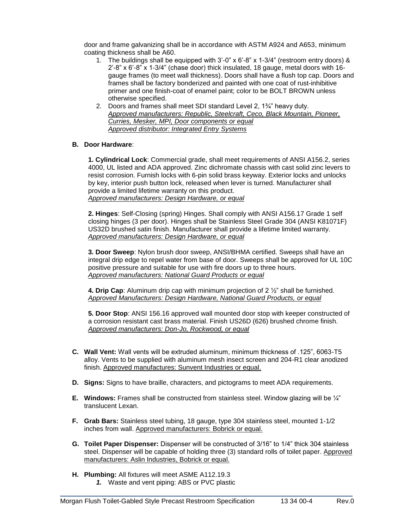door and frame galvanizing shall be in accordance with ASTM A924 and A653, minimum coating thickness shall be A60.

- 1. The buildings shall be equipped with 3'-0" x 6'-8" x 1-3/4" (restroom entry doors) & 2'-8" x 6'-8" x 1-3/4" (chase door) thick insulated, 18 gauge, metal doors with 16 gauge frames (to meet wall thickness). Doors shall have a flush top cap. Doors and frames shall be factory bonderized and painted with one coat of rust-inhibitive primer and one finish-coat of enamel paint; color to be BOLT BROWN unless otherwise specified.
- 2. Doors and frames shall meet SDI standard Level 2, 1¾" heavy duty. *Approved manufacturers: Republic, Steelcraft, Ceco, Black Mountain, Pioneer, Curries, Mesker, MPI, Door components or equal Approved distributor: Integrated Entry Systems*

### **B. Door Hardware**:

**1. Cylindrical Lock**: Commercial grade, shall meet requirements of ANSI A156.2, series 4000, UL listed and ADA approved. Zinc dichromate chassis with cast solid zinc levers to resist corrosion. Furnish locks with 6-pin solid brass keyway. Exterior locks and unlocks by key, interior push button lock, released when lever is turned. Manufacturer shall provide a limited lifetime warranty on this product. *Approved manufacturers: Design Hardware, or equal*

**2. Hinges**: Self-Closing (spring) Hinges. Shall comply with ANSI A156.17 Grade 1 self closing hinges (3 per door). Hinges shall be Stainless Steel Grade 304 (ANSI K81071F) US32D brushed satin finish. Manufacturer shall provide a lifetime limited warranty. *Approved manufacturers: Design Hardware, or equal*

**3. Door Sweep**: Nylon brush door sweep, ANSI/BHMA certified. Sweeps shall have an integral drip edge to repel water from base of door. Sweeps shall be approved for UL 10C positive pressure and suitable for use with fire doors up to three hours. *Approved manufacturers: National Guard Products or equal*

**4. Drip Cap**: Aluminum drip cap with minimum projection of 2 ½" shall be furnished. *Approved Manufacturers: Design Hardware, National Guard Products, or equal*

**5. Door Stop**: ANSI 156.16 approved wall mounted door stop with keeper constructed of a corrosion resistant cast brass material. Finish US26D (626) brushed chrome finish. *Approved manufacturers: Don-Jo, Rockwood, or equal*

- **C. Wall Vent:** Wall vents will be extruded aluminum, minimum thickness of .125", 6063-T5 alloy. Vents to be supplied with aluminum mesh insect screen and 204-R1 clear anodized finish. Approved manufactures: Sunvent Industries or equal.
- **D. Signs:** Signs to have braille, characters, and pictograms to meet ADA requirements.
- **E. Windows:** Frames shall be constructed from stainless steel. Window glazing will be ¼" translucent Lexan.
- **F. Grab Bars:** Stainless steel tubing, 18 gauge, type 304 stainless steel, mounted 1-1/2 inches from wall. Approved manufacturers: Bobrick or equal.
- **G. Toilet Paper Dispenser:** Dispenser will be constructed of 3/16" to 1/4" thick 304 stainless steel. Dispenser will be capable of holding three (3) standard rolls of toilet paper. Approved manufacturers: Aslin Industries, Bobrick or equal.

\_\_\_\_\_\_\_\_\_\_\_\_\_\_\_\_\_\_\_\_\_\_\_\_\_\_\_\_\_\_\_\_\_\_\_\_\_\_\_\_\_\_\_\_\_\_\_\_\_\_\_\_\_\_\_\_\_\_\_\_\_\_\_\_\_\_\_\_\_\_\_\_\_

**H. Plumbing:** All fixtures will meet ASME A112.19.3 *1.* Waste and vent piping: ABS or PVC plastic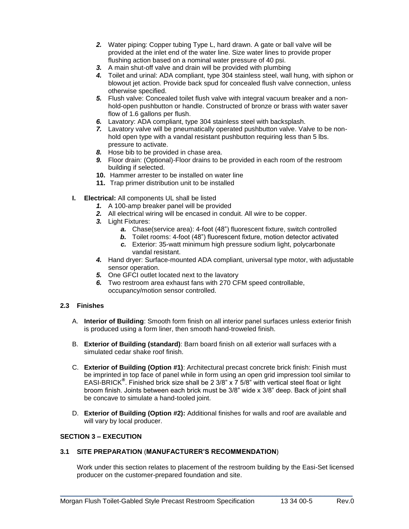- *2.* Water piping: Copper tubing Type L, hard drawn. A gate or ball valve will be provided at the inlet end of the water line. Size water lines to provide proper flushing action based on a nominal water pressure of 40 psi.
- *3.* A main shut-off valve and drain will be provided with plumbing
- *4.* Toilet and urinal: ADA compliant, type 304 stainless steel, wall hung, with siphon or blowout jet action. Provide back spud for concealed flush valve connection, unless otherwise specified.
- *5.* Flush valve: Concealed toilet flush valve with integral vacuum breaker and a nonhold-open pushbutton or handle. Constructed of bronze or brass with water saver flow of 1.6 gallons per flush.
- *6.* Lavatory: ADA compliant, type 304 stainless steel with backsplash.
- *7.* Lavatory valve will be pneumatically operated pushbutton valve. Valve to be nonhold open type with a vandal resistant pushbutton requiring less than 5 lbs. pressure to activate.
- *8.* Hose bib to be provided in chase area.
- *9.* Floor drain: (Optional)-Floor drains to be provided in each room of the restroom building if selected.
- **10.** Hammer arrester to be installed on water line
- **11.** Trap primer distribution unit to be installed
- **I. Electrical:** All components UL shall be listed
	- *1.* A 100-amp breaker panel will be provided
	- *2.* All electrical wiring will be encased in conduit. All wire to be copper.
	- *3.* Light Fixtures:
		- *a.* Chase(service area): 4-foot (48") fluorescent fixture, switch controlled
		- *b.* Toilet rooms: 4-foot (48") fluorescent fixture, motion detector activated
		- *c.* Exterior: 35-watt minimum high pressure sodium light, polycarbonate vandal resistant.
	- *4.* Hand dryer: Surface-mounted ADA compliant, universal type motor, with adjustable sensor operation.
	- *5.* One GFCI outlet located next to the lavatory
	- *6.* Two restroom area exhaust fans with 270 CFM speed controllable, occupancy/motion sensor controlled.

# **2.3 Finishes**

- A. **Interior of Building**: Smooth form finish on all interior panel surfaces unless exterior finish is produced using a form liner, then smooth hand-troweled finish.
- B. **Exterior of Building (standard)**: Barn board finish on all exterior wall surfaces with a simulated cedar shake roof finish.
- C. **Exterior of Building (Option #1)**: Architectural precast concrete brick finish: Finish must be imprinted in top face of panel while in form using an open grid impression tool similar to EASI-BRICK**®** . Finished brick size shall be 2 3/8" x 7 5/8" with vertical steel float or light broom finish. Joints between each brick must be 3/8" wide x 3/8" deep. Back of joint shall be concave to simulate a hand-tooled joint.
- D. **Exterior of Building (Option #2):** Additional finishes for walls and roof are available and will vary by local producer.

#### **SECTION 3 – EXECUTION**

#### **3.1 SITE PREPARATION** (**MANUFACTURER'S RECOMMENDATION**)

Work under this section relates to placement of the restroom building by the Easi-Set licensed producer on the customer-prepared foundation and site.

\_\_\_\_\_\_\_\_\_\_\_\_\_\_\_\_\_\_\_\_\_\_\_\_\_\_\_\_\_\_\_\_\_\_\_\_\_\_\_\_\_\_\_\_\_\_\_\_\_\_\_\_\_\_\_\_\_\_\_\_\_\_\_\_\_\_\_\_\_\_\_\_\_